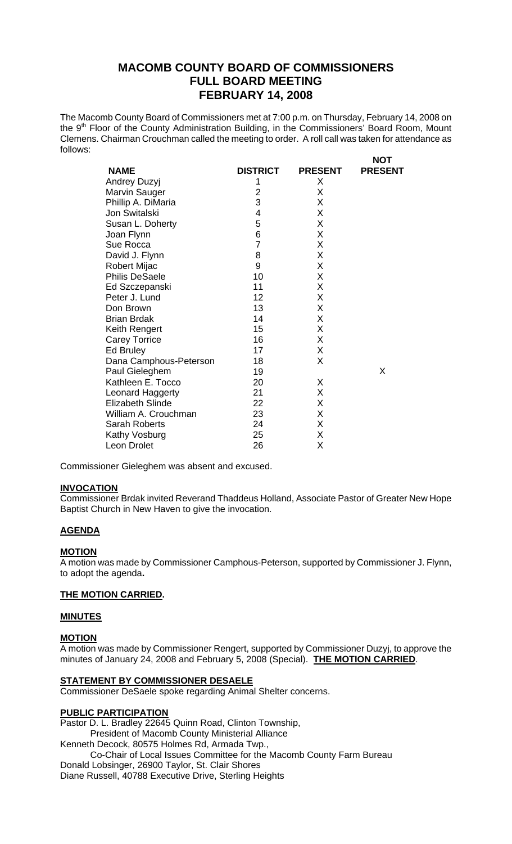# **MACOMB COUNTY BOARD OF COMMISSIONERS FULL BOARD MEETING FEBRUARY 14, 2008**

The Macomb County Board of Commissioners met at 7:00 p.m. on Thursday, February 14, 2008 on the 9<sup>th</sup> Floor of the County Administration Building, in the Commissioners' Board Room, Mount Clemens. Chairman Crouchman called the meeting to order. A roll call was taken for attendance as follows: **NOT** 

|                |                                             | ו שצו          |
|----------------|---------------------------------------------|----------------|
|                |                                             | <b>PRESENT</b> |
| 1              | X                                           |                |
|                | X                                           |                |
|                | X                                           |                |
|                | X                                           |                |
| 5              | Χ                                           |                |
| 6              | Χ                                           |                |
| $\overline{7}$ | X                                           |                |
| 8              | X                                           |                |
| 9              | X                                           |                |
| 10             | X                                           |                |
| 11             | X                                           |                |
| 12             | X                                           |                |
| 13             | X                                           |                |
| 14             | X                                           |                |
| 15             | X                                           |                |
| 16             | X                                           |                |
| 17             | X                                           |                |
| 18             | X                                           |                |
| 19             |                                             | X              |
| 20             | X                                           |                |
| 21             | X                                           |                |
| 22             | Χ                                           |                |
| 23             | X                                           |                |
| 24             | X                                           |                |
| 25             | X                                           |                |
| 26             | X                                           |                |
|                | <b>DISTRICT</b><br>$\overline{c}$<br>3<br>4 | <b>PRESENT</b> |

Commissioner Gieleghem was absent and excused.

#### **INVOCATION**

Commissioner Brdak invited Reverand Thaddeus Holland, Associate Pastor of Greater New Hope Baptist Church in New Haven to give the invocation.

## **AGENDA**

## **MOTION**

A motion was made by Commissioner Camphous-Peterson, supported by Commissioner J. Flynn, to adopt the agenda**.** 

## **THE MOTION CARRIED.**

#### **MINUTES**

## **MOTION**

A motion was made by Commissioner Rengert, supported by Commissioner Duzyj, to approve the minutes of January 24, 2008 and February 5, 2008 (Special). **THE MOTION CARRIED**.

#### **STATEMENT BY COMMISSIONER DESAELE**

Commissioner DeSaele spoke regarding Animal Shelter concerns.

## **PUBLIC PARTICIPATION**

Pastor D. L. Bradley 22645 Quinn Road, Clinton Township, President of Macomb County Ministerial Alliance Kenneth Decock, 80575 Holmes Rd, Armada Twp., Co-Chair of Local Issues Committee for the Macomb County Farm Bureau Donald Lobsinger, 26900 Taylor, St. Clair Shores Diane Russell, 40788 Executive Drive, Sterling Heights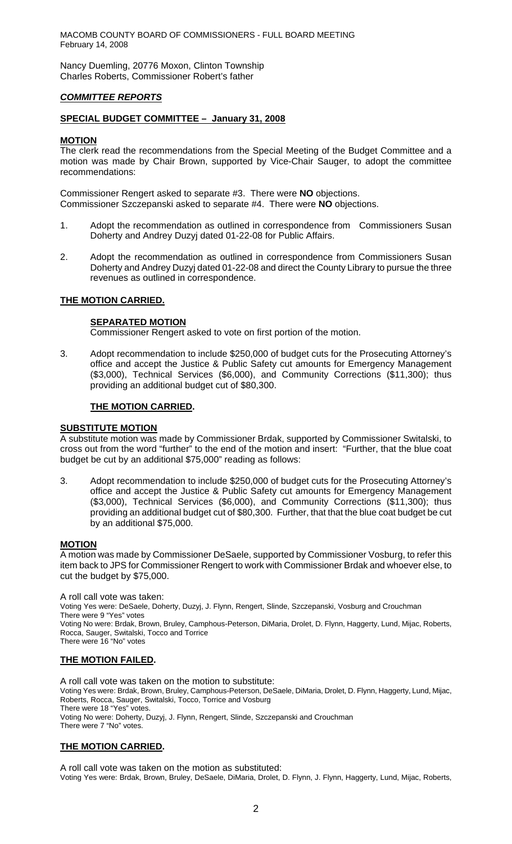MACOMB COUNTY BOARD OF COMMISSIONERS - FULL BOARD MEETING February 14, 2008

Nancy Duemling, 20776 Moxon, Clinton Township Charles Roberts, Commissioner Robert's father

## *COMMITTEE REPORTS*

## **SPECIAL BUDGET COMMITTEE – January 31, 2008**

## **MOTION**

The clerk read the recommendations from the Special Meeting of the Budget Committee and a motion was made by Chair Brown, supported by Vice-Chair Sauger, to adopt the committee recommendations:

Commissioner Rengert asked to separate #3. There were **NO** objections. Commissioner Szczepanski asked to separate #4. There were **NO** objections.

- 1. Adopt the recommendation as outlined in correspondence from Commissioners Susan Doherty and Andrey Duzyj dated 01-22-08 for Public Affairs.
- 2. Adopt the recommendation as outlined in correspondence from Commissioners Susan Doherty and Andrey Duzyj dated 01-22-08 and direct the County Library to pursue the three revenues as outlined in correspondence.

## **THE MOTION CARRIED.**

## **SEPARATED MOTION**

Commissioner Rengert asked to vote on first portion of the motion.

3. Adopt recommendation to include \$250,000 of budget cuts for the Prosecuting Attorney's office and accept the Justice & Public Safety cut amounts for Emergency Management (\$3,000), Technical Services (\$6,000), and Community Corrections (\$11,300); thus providing an additional budget cut of \$80,300.

#### **THE MOTION CARRIED.**

## **SUBSTITUTE MOTION**

A substitute motion was made by Commissioner Brdak, supported by Commissioner Switalski, to cross out from the word "further" to the end of the motion and insert: "Further, that the blue coat budget be cut by an additional \$75,000" reading as follows:

3. Adopt recommendation to include \$250,000 of budget cuts for the Prosecuting Attorney's office and accept the Justice & Public Safety cut amounts for Emergency Management (\$3,000), Technical Services (\$6,000), and Community Corrections (\$11,300); thus providing an additional budget cut of \$80,300. Further, that that the blue coat budget be cut by an additional \$75,000.

#### **MOTION**

A motion was made by Commissioner DeSaele, supported by Commissioner Vosburg, to refer this item back to JPS for Commissioner Rengert to work with Commissioner Brdak and whoever else, to cut the budget by \$75,000.

A roll call vote was taken:

Voting Yes were: DeSaele, Doherty, Duzyj, J. Flynn, Rengert, Slinde, Szczepanski, Vosburg and Crouchman There were 9 "Yes" votes

Voting No were: Brdak, Brown, Bruley, Camphous-Peterson, DiMaria, Drolet, D. Flynn, Haggerty, Lund, Mijac, Roberts, Rocca, Sauger, Switalski, Tocco and Torrice There were 16 "No" votes

## **THE MOTION FAILED.**

A roll call vote was taken on the motion to substitute: Voting Yes were: Brdak, Brown, Bruley, Camphous-Peterson, DeSaele, DiMaria, Drolet, D. Flynn, Haggerty, Lund, Mijac, Roberts, Rocca, Sauger, Switalski, Tocco, Torrice and Vosburg There were 18 "Yes" votes. Voting No were: Doherty, Duzyj, J. Flynn, Rengert, Slinde, Szczepanski and Crouchman There were 7 "No" votes.

# **THE MOTION CARRIED.**

A roll call vote was taken on the motion as substituted: Voting Yes were: Brdak, Brown, Bruley, DeSaele, DiMaria, Drolet, D. Flynn, J. Flynn, Haggerty, Lund, Mijac, Roberts,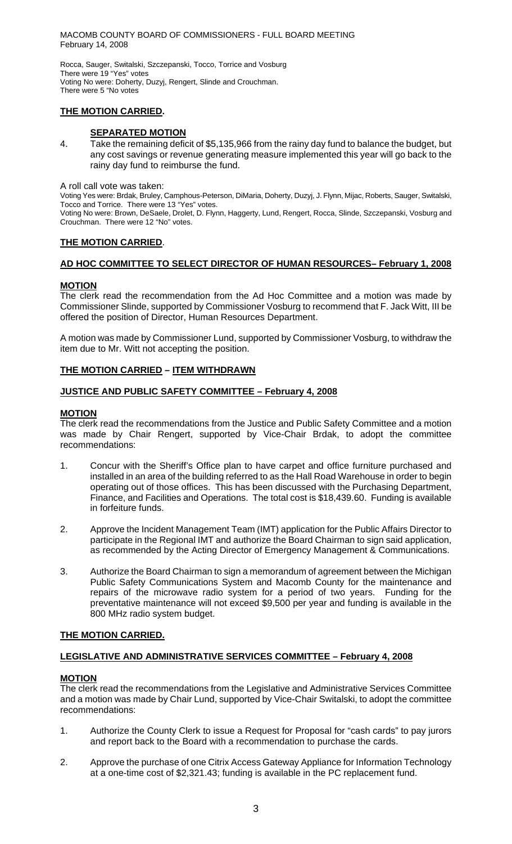Rocca, Sauger, Switalski, Szczepanski, Tocco, Torrice and Vosburg There were 19 "Yes" votes Voting No were: Doherty, Duzyj, Rengert, Slinde and Crouchman. There were 5 "No votes

## **THE MOTION CARRIED.**

## **SEPARATED MOTION**

4. Take the remaining deficit of \$5,135,966 from the rainy day fund to balance the budget, but any cost savings or revenue generating measure implemented this year will go back to the rainy day fund to reimburse the fund.

A roll call vote was taken:

Voting Yes were: Brdak, Bruley, Camphous-Peterson, DiMaria, Doherty, Duzyj, J. Flynn, Mijac, Roberts, Sauger, Switalski, Tocco and Torrice. There were 13 "Yes" votes.

Voting No were: Brown, DeSaele, Drolet, D. Flynn, Haggerty, Lund, Rengert, Rocca, Slinde, Szczepanski, Vosburg and Crouchman. There were 12 "No" votes.

## **THE MOTION CARRIED**.

## **AD HOC COMMITTEE TO SELECT DIRECTOR OF HUMAN RESOURCES– February 1, 2008**

## **MOTION**

The clerk read the recommendation from the Ad Hoc Committee and a motion was made by Commissioner Slinde, supported by Commissioner Vosburg to recommend that F. Jack Witt, III be offered the position of Director, Human Resources Department.

A motion was made by Commissioner Lund, supported by Commissioner Vosburg, to withdraw the item due to Mr. Witt not accepting the position.

## **THE MOTION CARRIED – ITEM WITHDRAWN**

## **JUSTICE AND PUBLIC SAFETY COMMITTEE – February 4, 2008**

## **MOTION**

The clerk read the recommendations from the Justice and Public Safety Committee and a motion was made by Chair Rengert, supported by Vice-Chair Brdak, to adopt the committee recommendations:

- 1. Concur with the Sheriff's Office plan to have carpet and office furniture purchased and installed in an area of the building referred to as the Hall Road Warehouse in order to begin operating out of those offices. This has been discussed with the Purchasing Department, Finance, and Facilities and Operations. The total cost is \$18,439.60. Funding is available in forfeiture funds.
- 2. Approve the Incident Management Team (IMT) application for the Public Affairs Director to participate in the Regional IMT and authorize the Board Chairman to sign said application, as recommended by the Acting Director of Emergency Management & Communications.
- 3. Authorize the Board Chairman to sign a memorandum of agreement between the Michigan Public Safety Communications System and Macomb County for the maintenance and repairs of the microwave radio system for a period of two years. Funding for the preventative maintenance will not exceed \$9,500 per year and funding is available in the 800 MHz radio system budget.

## **THE MOTION CARRIED.**

## **LEGISLATIVE AND ADMINISTRATIVE SERVICES COMMITTEE – February 4, 2008**

## **MOTION**

The clerk read the recommendations from the Legislative and Administrative Services Committee and a motion was made by Chair Lund, supported by Vice-Chair Switalski, to adopt the committee recommendations:

- 1. Authorize the County Clerk to issue a Request for Proposal for "cash cards" to pay jurors and report back to the Board with a recommendation to purchase the cards.
- 2. Approve the purchase of one Citrix Access Gateway Appliance for Information Technology at a one-time cost of \$2,321.43; funding is available in the PC replacement fund.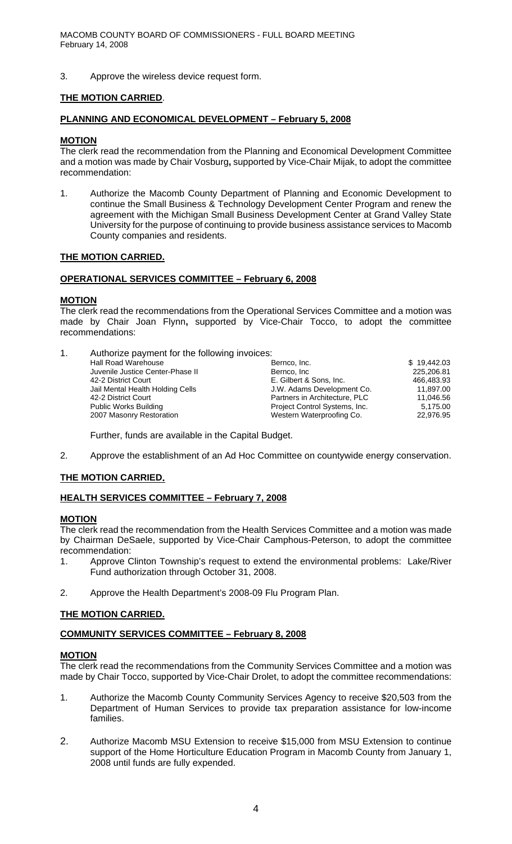3. Approve the wireless device request form.

## **THE MOTION CARRIED**.

## **PLANNING AND ECONOMICAL DEVELOPMENT – February 5, 2008**

## **MOTION**

The clerk read the recommendation from the Planning and Economical Development Committee and a motion was made by Chair Vosburg**,** supported by Vice-Chair Mijak, to adopt the committee recommendation:

1. Authorize the Macomb County Department of Planning and Economic Development to continue the Small Business & Technology Development Center Program and renew the agreement with the Michigan Small Business Development Center at Grand Valley State University for the purpose of continuing to provide business assistance services to Macomb County companies and residents.

## **THE MOTION CARRIED.**

## **OPERATIONAL SERVICES COMMITTEE – February 6, 2008**

## **MOTION**

The clerk read the recommendations from the Operational Services Committee and a motion was made by Chair Joan Flynn**,** supported by Vice-Chair Tocco, to adopt the committee recommendations:

| 1. | Authorize payment for the following invoices: |                               |             |  |
|----|-----------------------------------------------|-------------------------------|-------------|--|
|    | <b>Hall Road Warehouse</b>                    | Bernco, Inc.                  | \$19,442.03 |  |
|    | Juvenile Justice Center-Phase II              | Bernco, Inc.                  | 225,206.81  |  |
|    | 42-2 District Court                           | E. Gilbert & Sons, Inc.       | 466,483.93  |  |
|    | Jail Mental Health Holding Cells              | J.W. Adams Development Co.    | 11,897.00   |  |
|    | 42-2 District Court                           | Partners in Architecture, PLC | 11,046.56   |  |
|    | <b>Public Works Building</b>                  | Project Control Systems, Inc. | 5,175.00    |  |
|    | 2007 Masonry Restoration                      | Western Waterproofing Co.     | 22,976.95   |  |

Further, funds are available in the Capital Budget.

2. Approve the establishment of an Ad Hoc Committee on countywide energy conservation.

## **THE MOTION CARRIED.**

## **HEALTH SERVICES COMMITTEE – February 7, 2008**

#### **MOTION**

The clerk read the recommendation from the Health Services Committee and a motion was made by Chairman DeSaele, supported by Vice-Chair Camphous-Peterson, to adopt the committee recommendation:

- 1. Approve Clinton Township's request to extend the environmental problems: Lake/River Fund authorization through October 31, 2008.
- 2. Approve the Health Department's 2008-09 Flu Program Plan.

## **THE MOTION CARRIED.**

## **COMMUNITY SERVICES COMMITTEE – February 8, 2008**

#### **MOTION**

The clerk read the recommendations from the Community Services Committee and a motion was made by Chair Tocco, supported by Vice-Chair Drolet, to adopt the committee recommendations:

- 1. Authorize the Macomb County Community Services Agency to receive \$20,503 from the Department of Human Services to provide tax preparation assistance for low-income families.
- 2. Authorize Macomb MSU Extension to receive \$15,000 from MSU Extension to continue support of the Home Horticulture Education Program in Macomb County from January 1, 2008 until funds are fully expended.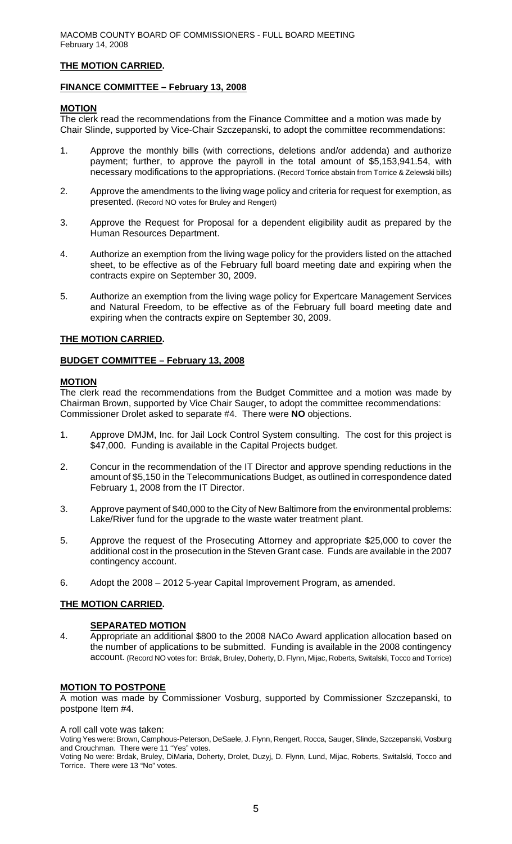## **THE MOTION CARRIED.**

## **FINANCE COMMITTEE – February 13, 2008**

## **MOTION**

The clerk read the recommendations from the Finance Committee and a motion was made by Chair Slinde, supported by Vice-Chair Szczepanski, to adopt the committee recommendations:

- 1. Approve the monthly bills (with corrections, deletions and/or addenda) and authorize payment; further, to approve the payroll in the total amount of \$5,153,941.54, with necessary modifications to the appropriations. (Record Torrice abstain from Torrice & Zelewski bills)
- 2. Approve the amendments to the living wage policy and criteria for request for exemption, as presented. (Record NO votes for Bruley and Rengert)
- 3. Approve the Request for Proposal for a dependent eligibility audit as prepared by the Human Resources Department.
- 4. Authorize an exemption from the living wage policy for the providers listed on the attached sheet, to be effective as of the February full board meeting date and expiring when the contracts expire on September 30, 2009.
- 5. Authorize an exemption from the living wage policy for Expertcare Management Services and Natural Freedom, to be effective as of the February full board meeting date and expiring when the contracts expire on September 30, 2009.

## **THE MOTION CARRIED.**

## **BUDGET COMMITTEE – February 13, 2008**

## **MOTION**

The clerk read the recommendations from the Budget Committee and a motion was made by Chairman Brown, supported by Vice Chair Sauger, to adopt the committee recommendations: Commissioner Drolet asked to separate #4. There were **NO** objections.

- 1. Approve DMJM, Inc. for Jail Lock Control System consulting. The cost for this project is \$47,000. Funding is available in the Capital Projects budget.
- 2. Concur in the recommendation of the IT Director and approve spending reductions in the amount of \$5,150 in the Telecommunications Budget, as outlined in correspondence dated February 1, 2008 from the IT Director.
- 3. Approve payment of \$40,000 to the City of New Baltimore from the environmental problems: Lake/River fund for the upgrade to the waste water treatment plant.
- 5. Approve the request of the Prosecuting Attorney and appropriate \$25,000 to cover the additional cost in the prosecution in the Steven Grant case. Funds are available in the 2007 contingency account.
- 6. Adopt the 2008 2012 5-year Capital Improvement Program, as amended.

## **THE MOTION CARRIED.**

#### **SEPARATED MOTION**

4. Appropriate an additional \$800 to the 2008 NACo Award application allocation based on the number of applications to be submitted. Funding is available in the 2008 contingency account. (Record NO votes for: Brdak, Bruley, Doherty, D. Flynn, Mijac, Roberts, Switalski, Tocco and Torrice)

#### **MOTION TO POSTPONE**

A motion was made by Commissioner Vosburg, supported by Commissioner Szczepanski, to postpone Item #4.

## A roll call vote was taken:

Voting Yes were: Brown, Camphous-Peterson, DeSaele, J. Flynn, Rengert, Rocca, Sauger, Slinde, Szczepanski, Vosburg and Crouchman. There were 11 "Yes" votes.

Voting No were: Brdak, Bruley, DiMaria, Doherty, Drolet, Duzyj, D. Flynn, Lund, Mijac, Roberts, Switalski, Tocco and Torrice. There were 13 "No" votes.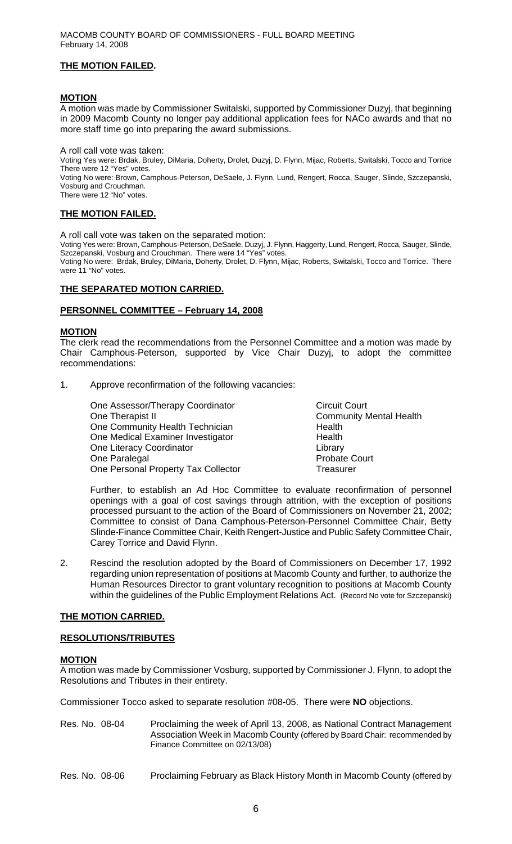## **THE MOTION FAILED.**

## **MOTION**

A motion was made by Commissioner Switalski, supported by Commissioner Duzyj, that beginning in 2009 Macomb County no longer pay additional application fees for NACo awards and that no more staff time go into preparing the award submissions.

#### A roll call vote was taken:

Voting Yes were: Brdak, Bruley, DiMaria, Doherty, Drolet, Duzyj, D. Flynn, Mijac, Roberts, Switalski, Tocco and Torrice There were 12 "Yes" votes.

Voting No were: Brown, Camphous-Peterson, DeSaele, J. Flynn, Lund, Rengert, Rocca, Sauger, Slinde, Szczepanski, Vosburg and Crouchman.

There were 12 "No" votes.

## **THE MOTION FAILED.**

A roll call vote was taken on the separated motion:

Voting Yes were: Brown, Camphous-Peterson, DeSaele, Duzyj, J. Flynn, Haggerty, Lund, Rengert, Rocca, Sauger, Slinde, Szczepanski, Vosburg and Crouchman. There were 14 "Yes" votes.

Voting No were: Brdak, Bruley, DiMaria, Doherty, Drolet, D. Flynn, Mijac, Roberts, Switalski, Tocco and Torrice. There were 11 "No" votes.

## **THE SEPARATED MOTION CARRIED.**

## **PERSONNEL COMMITTEE – February 14, 2008**

## **MOTION**

The clerk read the recommendations from the Personnel Committee and a motion was made by Chair Camphous-Peterson, supported by Vice Chair Duzyj, to adopt the committee recommendations:

1. Approve reconfirmation of the following vacancies:

One Assessor/Therapy Coordinator **Circuit Court** One Therapist II Community Mental Health One Community Health Technician **Health** Health One Medical Examiner Investigator **Frame Accord Health** One Literacy Coordinator **Library** Library One Paralegal **Probate Court** One Personal Property Tax Collector Treasurer

Further, to establish an Ad Hoc Committee to evaluate reconfirmation of personnel openings with a goal of cost savings through attrition, with the exception of positions processed pursuant to the action of the Board of Commissioners on November 21, 2002; Committee to consist of Dana Camphous-Peterson-Personnel Committee Chair, Betty Slinde-Finance Committee Chair, Keith Rengert-Justice and Public Safety Committee Chair, Carey Torrice and David Flynn.

2. Rescind the resolution adopted by the Board of Commissioners on December 17, 1992 regarding union representation of positions at Macomb County and further, to authorize the Human Resources Director to grant voluntary recognition to positions at Macomb County within the guidelines of the Public Employment Relations Act. (Record No vote for Szczepanski)

## **THE MOTION CARRIED.**

## **RESOLUTIONS/TRIBUTES**

#### **MOTION**

A motion was made by Commissioner Vosburg, supported by Commissioner J. Flynn, to adopt the Resolutions and Tributes in their entirety.

Commissioner Tocco asked to separate resolution #08-05. There were **NO** objections.

- Res. No. 08-04 Proclaiming the week of April 13, 2008, as National Contract Management Association Week in Macomb County (offered by Board Chair: recommended by Finance Committee on 02/13/08)
- Res. No. 08-06 Proclaiming February as Black History Month in Macomb County (offered by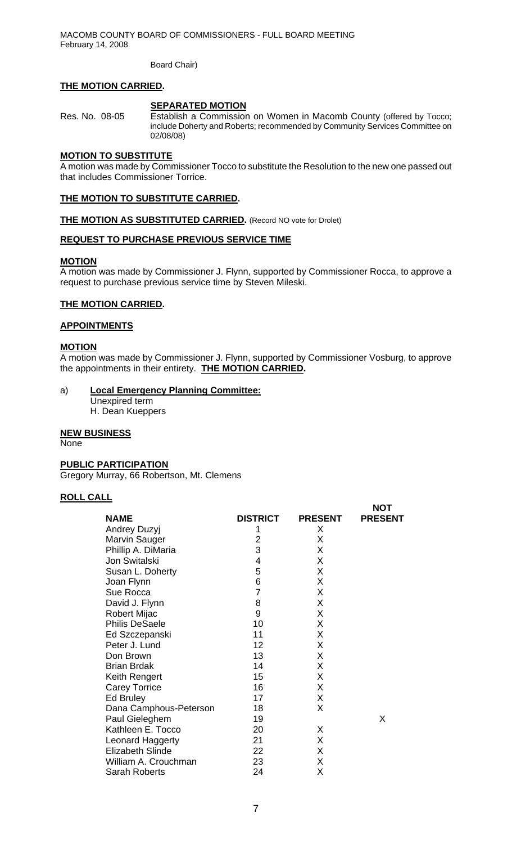Board Chair)

## **THE MOTION CARRIED.**

# **SEPARATED MOTION**<br>Res. No. 08-05 Establish a Commission

Establish a Commission on Women in Macomb County (offered by Tocco; include Doherty and Roberts; recommended by Community Services Committee on 02/08/08)

## **MOTION TO SUBSTITUTE**

A motion was made by Commissioner Tocco to substitute the Resolution to the new one passed out that includes Commissioner Torrice.

## **THE MOTION TO SUBSTITUTE CARRIED.**

**THE MOTION AS SUBSTITUTED CARRIED.** (Record NO vote for Drolet)

## **REQUEST TO PURCHASE PREVIOUS SERVICE TIME**

## **MOTION**

A motion was made by Commissioner J. Flynn, supported by Commissioner Rocca, to approve a request to purchase previous service time by Steven Mileski.

## **THE MOTION CARRIED.**

## **APPOINTMENTS**

## **MOTION**

A motion was made by Commissioner J. Flynn, supported by Commissioner Vosburg, to approve the appointments in their entirety. **THE MOTION CARRIED.** 

**NOT** 

## a) **Local Emergency Planning Committee:**

Unexpired term

H. Dean Kueppers

#### **NEW BUSINESS**

None

#### **PUBLIC PARTICIPATION**

Gregory Murray, 66 Robertson, Mt. Clemens

#### **ROLL CALL**

| <b>NAME</b>             | <b>DISTRICT</b> |                | NUI<br><b>PRESENT</b> |
|-------------------------|-----------------|----------------|-----------------------|
|                         |                 | <b>PRESENT</b> |                       |
| <b>Andrey Duzyj</b>     | 1               | X              |                       |
| Marvin Sauger           | $\overline{2}$  | X              |                       |
| Phillip A. DiMaria      | 3               | X              |                       |
| Jon Switalski           | 4               | X              |                       |
| Susan L. Doherty        | 5               | X              |                       |
| Joan Flynn              | 6               | X              |                       |
| Sue Rocca               | $\overline{7}$  | X              |                       |
| David J. Flynn          | 8               | X              |                       |
| <b>Robert Mijac</b>     | 9               | X              |                       |
| <b>Philis DeSaele</b>   | 10              | X              |                       |
| Ed Szczepanski          | 11              | X              |                       |
| Peter J. Lund           | 12              | X              |                       |
| Don Brown               | 13              | X              |                       |
| <b>Brian Brdak</b>      | 14              | X              |                       |
| Keith Rengert           | 15              | X              |                       |
| <b>Carey Torrice</b>    | 16              | X              |                       |
| Ed Bruley               | 17              | X              |                       |
| Dana Camphous-Peterson  | 18              | Χ              |                       |
| Paul Gieleghem          | 19              |                | X                     |
| Kathleen E. Tocco       | 20              | X              |                       |
| Leonard Haggerty        | 21              | X              |                       |
| <b>Elizabeth Slinde</b> | 22              | X              |                       |
| William A. Crouchman    | 23              | X              |                       |
| <b>Sarah Roberts</b>    | 24              | Χ              |                       |